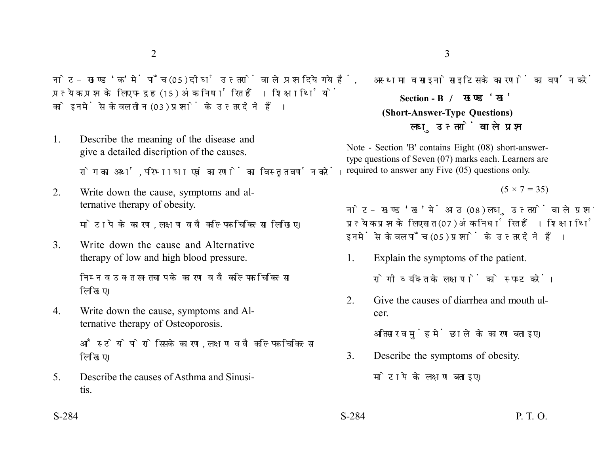नोट- खण्ड 'क' में पाँच (05) दीर्घ उत्तरों वाले प्रश्न दिये गये हैं. प्रत्येक प्रश्न के लिए पन्द्रह (15) अंक निर्धारित हैं। शिक्षार्थियों को इनमें से केवल तीन (03) प्रश्नों के उत्तर देने हैं।

1. Describe the meaning of the disease and give a detailed discription of the causes.

रोग का अर्थ. परिभाषा एवं कारणों का विस्तत वर्णन करें।

2. Write down the cause, symptoms and alternative therapy of obesity.

मोटापे के कारण. लक्षण व वैकल्पिक चिकित्सा लिखिए।

3. Write down the cause and Alternative therapy of low and high blood pressure.

> निम्न व उक्त रक्तचाप के कारण व वैकल्पिक चिकित्सा लिखिए।

4. Write down the cause, symptoms and Alternative therapy of Osteoporosis.

> औस्टेयोपोरोसिस के कारण, लक्षण व वैकल्पिक चिकित्सा लिखिए।

5. Describe the causes of Asthma and Sinusitis.

**Section - B (Short-Answer-Type Questions)** लघु उत्तरों वाले प्रश्न

Note - Section 'B' contains Eight (08) short-answertype questions of Seven (07) marks each. Learners are required to answer any Five (05) questions only.

 $(5 \times 7 = 35)$ 

नोट- खण्ड 'ख' में आठ (08) लघु उत्तरों वाले प्रश्न दिये गये हैं, प्रत्येक प्रश्न के लिए सात (07) अंक निर्धारित हैं। शिक्षार्थियों को इनमें से केवल पाँच (05) प्रश्नों के उत्तर देने हैं।

- 1. Explain the symptoms of the patient. रोगी व्यक्ति के लक्षणों को स्पष्ट करें।
- 2. Give the causes of diarrhea and mouth ulcer.

अतिसार व मुंह में छाले के कारण बताइए।

- 3. Describe the symptoms of obesity. मोटापे के लक्षण बताइए।
- S-284 P. T. O.